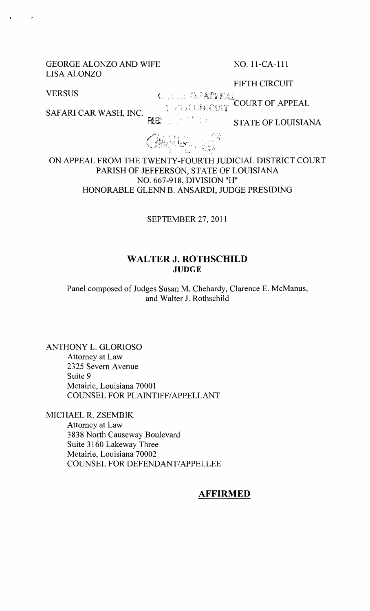#### GEORGE ALONZO AND WIFE NO. 11-CA-111 LISA ALONZO

FIFTH CIRCUIT

**VERSUS** 

CONTACTE CONTRACTOR にはない 385 APPEAL<br>- ディバイジは最初の作<mark>(COURT OF APPEAL</mark>

SAFARI CAR WASH, INC.

F!ED うぜいい

STATE OF LOUISIANA



ON APPEAL FROM THE TWENTY-FOURTH JUDICIAL DISTRICT COURT PARISH OF JEFFERSON, STATE OF LOUISIANA NO. 667-918, DIVISION "H" HONORABLE GLENN B. ANSARDI, JUDGE PRESIDING

SEPTENIBER 27,2011

### **WALTER J. ROTHSCHILD JUDGE**

Panel composed of Judges Susan M. Chehardy, Clarence E. McManus, and Walter J. Rothschild

ANTHONY L. GLORIOSO Attorney at Law 2325 Severn Avenue Suite 9 Metairie, Louisiana 70001 COUNSEL FOR PLAINTIFF/APPELLANT

MICHAEL R. ZSEMBIK

Attorney at Law 3838 North Causeway Boulevard Suite 3160 Lakeway Three Metairie, Louisiana 70002 COUNSEL FOR DEFENDANT/APPELLEE

## **AFFIRMED**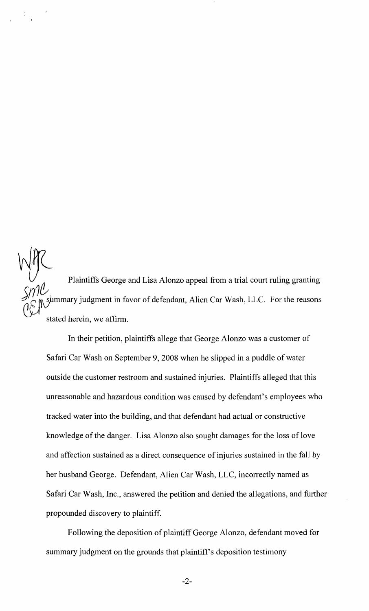$\begin{picture}(120,115) \put(0,0){\line(1,0){155}} \put(15,0){\line(1,0){155}} \put(15,0){\line(1,0){155}} \put(15,0){\line(1,0){155}} \put(15,0){\line(1,0){155}} \put(15,0){\line(1,0){155}} \put(15,0){\line(1,0){155}} \put(15,0){\line(1,0){155}} \put(15,0){\line(1,0){155}} \put(15,0){\line(1,0){155}} \put(15,0){\line(1,0){155$ Plaintiffs George and Lisa Alonzo appeal from a trial court ruling granting summary judgment in favor of defendant, Alien Car Wash, LLC. For the reasons stated herein, we affirm.

In their petition, plaintiffs allege that George Alonzo was a customer of Safari Car Wash on September 9, 2008 when he slipped in a puddle of water outside the customer restroom and sustained injuries. Plaintiffs alleged that this unreasonable and hazardous condition was caused by defendant's employees who tracked water into the building, and that defendant had actual or constructive knowledge of the danger. Lisa Alonzo also sought damages for the loss of love and affection sustained as a direct consequence of injuries sustained in the fall by her husband George. Defendant, Alien Car Wash, LLC, incorrectly named as Safari Car Wash, Inc., answered the petition and denied the allegations, and further propounded discovery to plaintiff.

Following the deposition of plaintiff George Alonzo, defendant moved for summary judgment on the grounds that plaintiff's deposition testimony

 $-2-$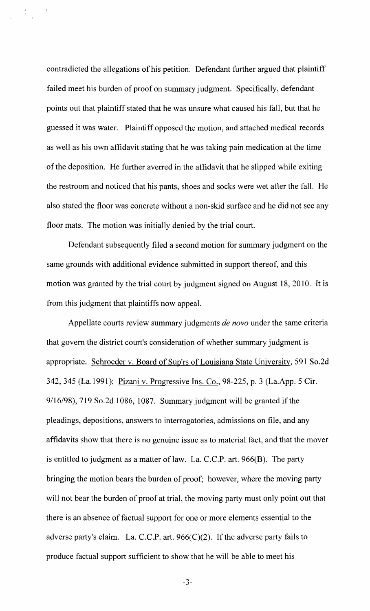contradicted the allegations of his petition. Defendant further argued that plaintiff failed meet his burden of proof on summary judgment. Specifically, defendant points out that plaintiff stated that he was unsure what caused his fall, but that he guessed it was water. Plaintiff opposed the motion, and attached medical records as well as his own affidavit stating that he was taking pain medication at the time of the deposition. He further averred in the affidavit that he slipped while exiting the restroom and noticed that his pants, shoes and socks were wet after the fall. He also stated the floor was concrete without a non-skid surface and he did not see any floor mats. The motion was initially denied by the trial court.

 $\frac{\Delta}{\Delta}$  .

Defendant subsequently filed a second motion for summary judgment on the same grounds with additional evidence submitted in support thereof, and this motion was granted by the trial court by judgment signed on August 18,2010. It is from this judgment that plaintiffs now appeal.

Appellate courts review summary judgments *de novo* under the same criteria that govern the district court's consideration of whether summary judgment is appropriate. Schroeder v. Board of Sup'rs of Louisiana State University, 591 So.2d 342, 345 (La.1991); Pizani v. Progressive Ins. Co., 98-225, p. 3 (La.App. 5 Cir.  $9/16/98$ , 719 So.2d 1086, 1087. Summary judgment will be granted if the pleadings, depositions, answers to interrogatories, admissions on file, and any affidavits show that there is no genuine issue as to material fact, and that the mover is entitled to judgment as a matter of law. La. C.C.P. art. 966(B). The party bringing the motion bears the burden of proof; however, where the moving party will not bear the burden of proof at trial, the moving party must only point out that there is an absence of factual support for one or more elements essential to the adverse party's claim. La. C.C.P. art. 966(C)(2). If the adverse party fails to produce factual support sufficient to show that he will be able to meet his

-3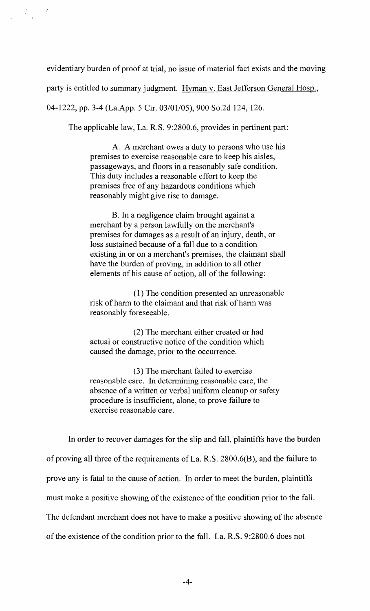evidentiary burden of proof at trial, no issue of material fact exists and the moving

party is entitled to summary judgment. Hyman v. East Jefferson General Hosp.,

04-1222, pp. 3-4 (La.App. 5 Cir. 03/01/05), 900 So.2d 124, 126.

 $\frac{1}{\sqrt{2}}\frac{1}{\sqrt{2}}\left(1-\frac{2}{\sqrt{2}}\right)$ 

The applicable law, La. R.S. 9:2800.6, provides in pertinent part:

A. A merchant owes a duty to persons who use his premises to exercise reasonable care to keep his aisles, passageways, and floors in a reasonably safe condition. This duty includes a reasonable effort to keep the premises free of any hazardous conditions which reasonably might give rise to damage.

B. **In** a negligence claim brought against a merchant by a person lawfully on the merchant's premises for damages as a result of an injury, death, or loss sustained because of a fall due to a condition existing in or on a merchant's premises, the claimant shall have the burden of proving, in addition to all other elements of his cause of action, all of the following:

(1) The condition presented an unreasonable risk of harm to the claimant and that risk of harm was reasonably foreseeable.

(2) The merchant either created or had actual or constructive notice of the condition which caused the damage, prior to the occurrence.

(3) The merchant failed to exercise reasonable care. **In** determining reasonable care, the absence of a written or verbal uniform cleanup or safety procedure is insufficient, alone, to prove failure to exercise reasonable care.

**In** order to recover damages for the slip and fall, plaintiffs have the burden of proving all three of the requirements of La. R.S. 2800.6(B), and the failure to prove any is fatal to the cause of action. **In** order to meet the burden, plaintiffs must make a positive showing of the existence of the condition prior to the fall. The defendant merchant does not have to make a positive showing of the absence of the existence of the condition prior to the fall. La. R.S. 9:2800.6 does not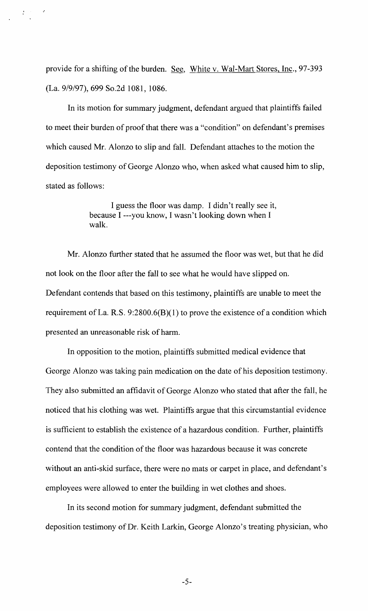provide for a shifting of the burden. See, White v. Wal-Mart Stores, Inc., 97-393 (La. 9/9/97), 699 So.2d 1081, 1086.

In its motion for summary judgment, defendant argued that plaintiffs failed to meet their burden of proof that there was a "condition" on defendant's premises which caused Mr. Alonzo to slip and fall. Defendant attaches to the motion the deposition testimony of George Alonzo who, when asked what caused him to slip, stated as follows:

> I guess the floor was damp. I didn't really see it, because I ---you know, I wasn't looking down when I walk.

Mr. Alonzo further stated that he assumed the floor was wet, but that he did not look on the floor after the fall to see what he would have slipped on. Defendant contends that based on this testimony, plaintiffs are unable to meet the requirement of La. R.S.  $9:2800.6(B)(1)$  to prove the existence of a condition which presented an unreasonable risk of harm.

In opposition to the motion, plaintiffs submitted medical evidence that George Alonzo was taking pain medication on the date of his deposition testimony. They also submitted an affidavit of George Alonzo who stated that after the fall, he noticed that his clothing was wet. Plaintiffs argue that this circumstantial evidence is sufficient to establish the existence of a hazardous condition. Further, plaintiffs contend that the condition of the floor was hazardous because it was concrete without an anti-skid surface, there were no mats or carpet in place, and defendant's employees were allowed to enter the building in wet clothes and shoes.

In its second motion for summary judgment, defendant submitted the deposition testimony of Dr. Keith Larkin, George Alonzo's treating physician, who

-5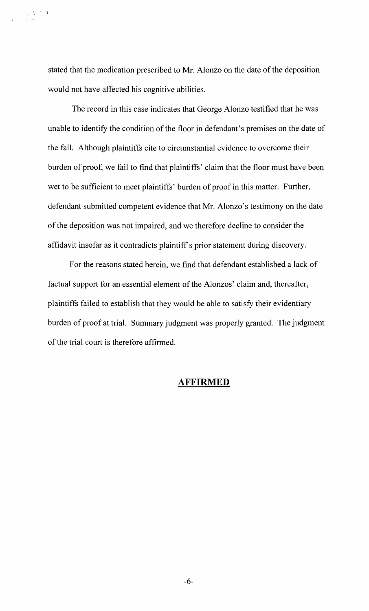stated that the medication prescribed to Mr. Alonzo on the date of the deposition would not have affected his cognitive abilities.

,  $\mathbf{r}$ 

The record in this case indicates that George Alonzo testified that he was unable to identify the condition of the floor in defendant's premises on the date of the fall. Although plaintiffs cite to circumstantial evidence to overcome their burden of proof, we fail to find that plaintiffs' claim that the floor must have been wet to be sufficient to meet plaintiffs' burden of proof in this matter. Further, defendant submitted competent evidence that Mr. Alonzo's testimony on the date of the deposition was not impaired, and we therefore decline to consider the affidavit insofar as it contradicts plaintiff's prior statement during discovery.

For the reasons stated herein, we find that defendant established a lack of factual support for an essential element of the Alonzos' claim and, thereafter, plaintiffs failed to establish that they would be able to satisfy their evidentiary burden of proof at trial. Summary judgment was properly granted. The judgment of the trial court is therefore affirmed.

#### **AFFIRMED**